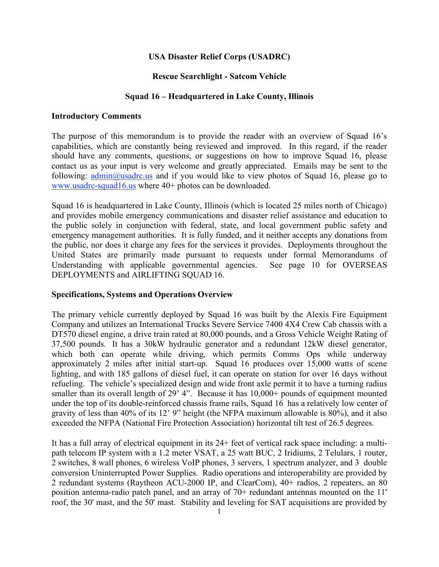# **USA Disaster Relief Corps (USADRC)**

# **Rescue Searchlight - Satcom Vehicle**

# **Squad 16 – Headquartered in Lake County, Illinois**

## **Introductory Comments**

The purpose of this memorandum is to provide the reader with an overview of Squad 16's capabilities, which are constantly being reviewed and improved. In this regard, if the reader should have any comments, questions, or suggestions on how to improve Squad 16, please contact us as your input is very welcome and greatly appreciated. Emails may be sent to the following:  $\frac{\text{admin}(a)}{\text{d}}$ usadrc.us and if you would like to view photos of Squad 16, please go to www.usadrc-squad16.us where 40+ photos can be downloaded.

Squad 16 is headquartered in Lake County, Illinois (which is located 25 miles north of Chicago) and provides mobile emergency communications and disaster relief assistance and education to the public solely in conjunction with federal, state, and local government public safety and emergency management authorities. It is fully funded, and it neither accepts any donations from the public, nor does it charge any fees for the services it provides. Deployments throughout the United States are primarily made pursuant to requests under formal Memorandums of Understanding with applicable governmental agencies. See page 10 for OVERSEAS DEPLOYMENTS and AIRLIFTING SQUAD 16.

# **Specifications, Systems and Operations Overview**

The primary vehicle currently deployed by Squad 16 was built by the Alexis Fire Equipment Company and utilizes an International Trucks Severe Service 7400 4X4 Crew Cab chassis with a DT570 diesel engine, a drive train rated at 80,000 pounds, and a Gross Vehicle Weight Rating of 37,500 pounds. It has a 30kW hydraulic generator and a redundant 12kW diesel generator, which both can operate while driving, which permits Comms Ops while underway approximately 2 miles after initial start-up. Squad 16 produces over 15,000 watts of scene lighting, and with 185 gallons of diesel fuel, it can operate on station for over 16 days without refueling. The vehicle's specialized design and wide front axle permit it to have a turning radius smaller than its overall length of 29' 4". Because it has  $10,000+$  pounds of equipment mounted under the top of its double-reinforced chassis frame rails, Squad 16 has a relatively low center of gravity of less than 40% of its 12' 9" height (the NFPA maximum allowable is 80%), and it also exceeded the NFPA (National Fire Protection Association) horizontal tilt test of 26.5 degrees.

It has a full array of electrical equipment in its 24+ feet of vertical rack space including: a multipath telecom IP system with a 1.2 meter VSAT, a 25 watt BUC, 2 Iridiums, 2 Telulars, 1 router, 2 switches, 8 wall phones, 6 wireless VoIP phones, 3 servers, 1 spectrum analyzer, and 3 double conversion Uninterrupted Power Supplies. Radio operations and interoperability are provided by 2 redundant systems (Raytheon ACU-2000 IP, and ClearCom), 40+ radios, 2 repeaters, an 80 position antenna-radio patch panel, and an array of 70+ redundant antennas mounted on the 11' roof, the 30' mast, and the 50' mast. Stability and leveling for SAT acquisitions are provided by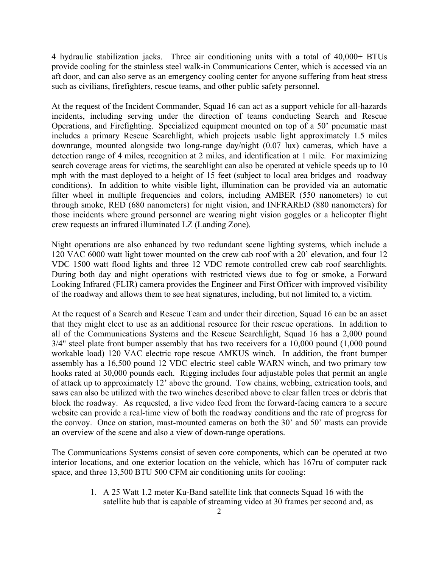4 hydraulic stabilization jacks. Three air conditioning units with a total of 40,000+ BTUs provide cooling for the stainless steel walk-in Communications Center, which is accessed via an aft door, and can also serve as an emergency cooling center for anyone suffering from heat stress such as civilians, firefighters, rescue teams, and other public safety personnel.

At the request of the Incident Commander, Squad 16 can act as a support vehicle for all-hazards incidents, including serving under the direction of teams conducting Search and Rescue Operations, and Firefighting. Specialized equipment mounted on top of a 50' pneumatic mast includes a primary Rescue Searchlight, which projects usable light approximately 1.5 miles downrange, mounted alongside two long-range day/night (0.07 lux) cameras, which have a detection range of 4 miles, recognition at 2 miles, and identification at 1 mile. For maximizing search coverage areas for victims, the searchlight can also be operated at vehicle speeds up to 10 mph with the mast deployed to a height of 15 feet (subject to local area bridges and roadway conditions). In addition to white visible light, illumination can be provided via an automatic filter wheel in multiple frequencies and colors, including AMBER (550 nanometers) to cut through smoke, RED (680 nanometers) for night vision, and INFRARED (880 nanometers) for those incidents where ground personnel are wearing night vision goggles or a helicopter flight crew requests an infrared illuminated LZ (Landing Zone).

Night operations are also enhanced by two redundant scene lighting systems, which include a 120 VAC 6000 watt light tower mounted on the crew cab roof with a 20' elevation, and four 12 VDC 1500 watt flood lights and three 12 VDC remote controlled crew cab roof searchlights. During both day and night operations with restricted views due to fog or smoke, a Forward Looking Infrared (FLIR) camera provides the Engineer and First Officer with improved visibility of the roadway and allows them to see heat signatures, including, but not limited to, a victim.

At the request of a Search and Rescue Team and under their direction, Squad 16 can be an asset that they might elect to use as an additional resource for their rescue operations. In addition to all of the Communications Systems and the Rescue Searchlight, Squad 16 has a 2,000 pound 3/4" steel plate front bumper assembly that has two receivers for a 10,000 pound (1,000 pound workable load) 120 VAC electric rope rescue AMKUS winch. In addition, the front bumper assembly has a 16,500 pound 12 VDC electric steel cable WARN winch, and two primary tow hooks rated at 30,000 pounds each. Rigging includes four adjustable poles that permit an angle of attack up to approximately 12' above the ground. Tow chains, webbing, extrication tools, and saws can also be utilized with the two winches described above to clear fallen trees or debris that block the roadway. As requested, a live video feed from the forward-facing camera to a secure website can provide a real-time view of both the roadway conditions and the rate of progress for the convoy. Once on station, mast-mounted cameras on both the 30' and 50' masts can provide an overview of the scene and also a view of down-range operations.

The Communications Systems consist of seven core components, which can be operated at two interior locations, and one exterior location on the vehicle, which has 167ru of computer rack space, and three 13,500 BTU 500 CFM air conditioning units for cooling:

> 1. A 25 Watt 1.2 meter Ku-Band satellite link that connects Squad 16 with the satellite hub that is capable of streaming video at 30 frames per second and, as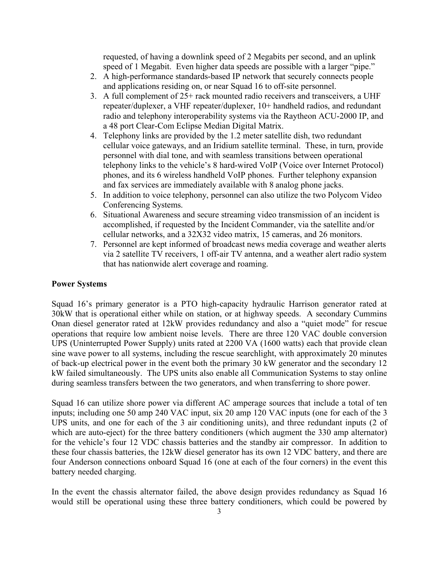requested, of having a downlink speed of 2 Megabits per second, and an uplink speed of 1 Megabit. Even higher data speeds are possible with a larger "pipe."

- 2. A high-performance standards-based IP network that securely connects people and applications residing on, or near Squad 16 to off-site personnel.
- 3. A full complement of 25+ rack mounted radio receivers and transceivers, a UHF repeater/duplexer, a VHF repeater/duplexer, 10+ handheld radios, and redundant radio and telephony interoperability systems via the Raytheon ACU-2000 IP, and a 48 port Clear-Com Eclipse Median Digital Matrix.
- 4. Telephony links are provided by the 1.2 meter satellite dish, two redundant cellular voice gateways, and an Iridium satellite terminal. These, in turn, provide personnel with dial tone, and with seamless transitions between operational telephony links to the vehicle's 8 hard-wired VoIP (Voice over Internet Protocol) phones, and its 6 wireless handheld VoIP phones. Further telephony expansion and fax services are immediately available with 8 analog phone jacks.
- 5. In addition to voice telephony, personnel can also utilize the two Polycom Video Conferencing Systems.
- 6. Situational Awareness and secure streaming video transmission of an incident is accomplished, if requested by the Incident Commander, via the satellite and/or cellular networks, and a 32X32 video matrix, 15 cameras, and 26 monitors.
- 7. Personnel are kept informed of broadcast news media coverage and weather alerts via 2 satellite TV receivers, 1 off-air TV antenna, and a weather alert radio system that has nationwide alert coverage and roaming.

### **Power Systems**

Squad 16's primary generator is a PTO high-capacity hydraulic Harrison generator rated at 30kW that is operational either while on station, or at highway speeds. A secondary Cummins Onan diesel generator rated at 12kW provides redundancy and also a "quiet mode" for rescue operations that require low ambient noise levels. There are three 120 VAC double conversion UPS (Uninterrupted Power Supply) units rated at 2200 VA (1600 watts) each that provide clean sine wave power to all systems, including the rescue searchlight, with approximately 20 minutes of back-up electrical power in the event both the primary 30 kW generator and the secondary 12 kW failed simultaneously. The UPS units also enable all Communication Systems to stay online during seamless transfers between the two generators, and when transferring to shore power.

Squad 16 can utilize shore power via different AC amperage sources that include a total of ten inputs; including one 50 amp 240 VAC input, six 20 amp 120 VAC inputs (one for each of the 3 UPS units, and one for each of the 3 air conditioning units), and three redundant inputs (2 of which are auto-eject) for the three battery conditioners (which augment the 330 amp alternator) for the vehicle's four 12 VDC chassis batteries and the standby air compressor. In addition to these four chassis batteries, the 12kW diesel generator has its own 12 VDC battery, and there are four Anderson connections onboard Squad 16 (one at each of the four corners) in the event this battery needed charging.

In the event the chassis alternator failed, the above design provides redundancy as Squad 16 would still be operational using these three battery conditioners, which could be powered by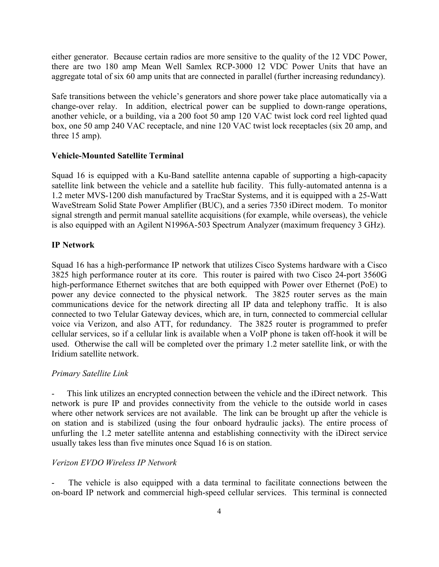either generator. Because certain radios are more sensitive to the quality of the 12 VDC Power, there are two 180 amp Mean Well Samlex RCP-3000 12 VDC Power Units that have an aggregate total of six 60 amp units that are connected in parallel (further increasing redundancy).

Safe transitions between the vehicle's generators and shore power take place automatically via a change-over relay. In addition, electrical power can be supplied to down-range operations, another vehicle, or a building, via a 200 foot 50 amp 120 VAC twist lock cord reel lighted quad box, one 50 amp 240 VAC receptacle, and nine 120 VAC twist lock receptacles (six 20 amp, and three 15 amp).

### **Vehicle-Mounted Satellite Terminal**

Squad 16 is equipped with a Ku-Band satellite antenna capable of supporting a high-capacity satellite link between the vehicle and a satellite hub facility. This fully-automated antenna is a 1.2 meter MVS-1200 dish manufactured by TracStar Systems, and it is equipped with a 25-Watt WaveStream Solid State Power Amplifier (BUC), and a series 7350 iDirect modem. To monitor signal strength and permit manual satellite acquisitions (for example, while overseas), the vehicle is also equipped with an Agilent N1996A-503 Spectrum Analyzer (maximum frequency 3 GHz).

### **IP Network**

Squad 16 has a high-performance IP network that utilizes Cisco Systems hardware with a Cisco 3825 high performance router at its core. This router is paired with two Cisco 24-port 3560G high-performance Ethernet switches that are both equipped with Power over Ethernet (PoE) to power any device connected to the physical network. The 3825 router serves as the main communications device for the network directing all IP data and telephony traffic. It is also connected to two Telular Gateway devices, which are, in turn, connected to commercial cellular voice via Verizon, and also ATT, for redundancy. The 3825 router is programmed to prefer cellular services, so if a cellular link is available when a VoIP phone is taken off-hook it will be used. Otherwise the call will be completed over the primary 1.2 meter satellite link, or with the Iridium satellite network.

### *Primary Satellite Link*

This link utilizes an encrypted connection between the vehicle and the iDirect network. This network is pure IP and provides connectivity from the vehicle to the outside world in cases where other network services are not available. The link can be brought up after the vehicle is on station and is stabilized (using the four onboard hydraulic jacks). The entire process of unfurling the 1.2 meter satellite antenna and establishing connectivity with the iDirect service usually takes less than five minutes once Squad 16 is on station.

### *Verizon EVDO Wireless IP Network*

The vehicle is also equipped with a data terminal to facilitate connections between the on-board IP network and commercial high-speed cellular services. This terminal is connected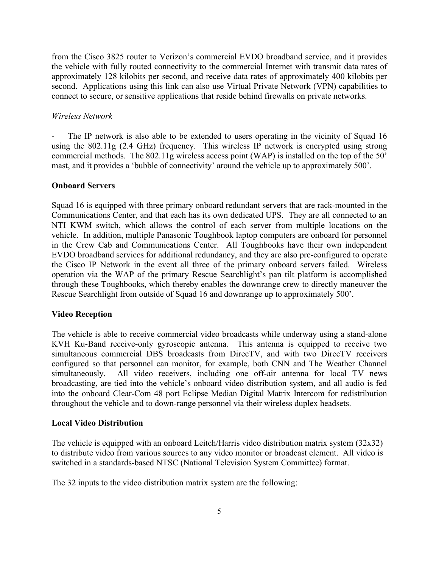from the Cisco 3825 router to Verizon's commercial EVDO broadband service, and it provides the vehicle with fully routed connectivity to the commercial Internet with transmit data rates of approximately 128 kilobits per second, and receive data rates of approximately 400 kilobits per second. Applications using this link can also use Virtual Private Network (VPN) capabilities to connect to secure, or sensitive applications that reside behind firewalls on private networks.

### *Wireless Network*

The IP network is also able to be extended to users operating in the vicinity of Squad 16 using the 802.11g (2.4 GHz) frequency. This wireless IP network is encrypted using strong commercial methods. The 802.11g wireless access point (WAP) is installed on the top of the 50' mast, and it provides a 'bubble of connectivity' around the vehicle up to approximately 500'.

### **Onboard Servers**

Squad 16 is equipped with three primary onboard redundant servers that are rack-mounted in the Communications Center, and that each has its own dedicated UPS. They are all connected to an NTI KWM switch, which allows the control of each server from multiple locations on the vehicle. In addition, multiple Panasonic Toughbook laptop computers are onboard for personnel in the Crew Cab and Communications Center. All Toughbooks have their own independent EVDO broadband services for additional redundancy, and they are also pre-configured to operate the Cisco IP Network in the event all three of the primary onboard servers failed. Wireless operation via the WAP of the primary Rescue Searchlight's pan tilt platform is accomplished through these Toughbooks, which thereby enables the downrange crew to directly maneuver the Rescue Searchlight from outside of Squad 16 and downrange up to approximately 500'.

#### **Video Reception**

The vehicle is able to receive commercial video broadcasts while underway using a stand-alone KVH Ku-Band receive-only gyroscopic antenna. This antenna is equipped to receive two simultaneous commercial DBS broadcasts from DirecTV, and with two DirecTV receivers configured so that personnel can monitor, for example, both CNN and The Weather Channel simultaneously. All video receivers, including one off-air antenna for local TV news broadcasting, are tied into the vehicle's onboard video distribution system, and all audio is fed into the onboard Clear-Com 48 port Eclipse Median Digital Matrix Intercom for redistribution throughout the vehicle and to down-range personnel via their wireless duplex headsets.

#### **Local Video Distribution**

The vehicle is equipped with an onboard Leitch/Harris video distribution matrix system (32x32) to distribute video from various sources to any video monitor or broadcast element. All video is switched in a standards-based NTSC (National Television System Committee) format.

The 32 inputs to the video distribution matrix system are the following: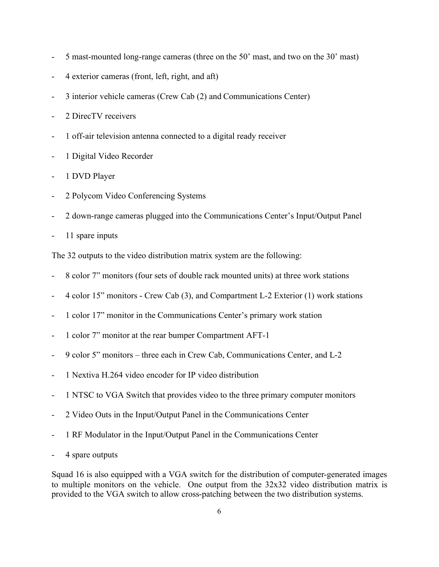- 5 mast-mounted long-range cameras (three on the 50' mast, and two on the 30' mast)
- 4 exterior cameras (front, left, right, and aft)
- 3 interior vehicle cameras (Crew Cab (2) and Communications Center)
- 2 DirecTV receivers
- 1 off-air television antenna connected to a digital ready receiver
- 1 Digital Video Recorder
- 1 DVD Player
- 2 Polycom Video Conferencing Systems
- 2 down-range cameras plugged into the Communications Center's Input/Output Panel
- 11 spare inputs

The 32 outputs to the video distribution matrix system are the following:

- 8 color 7" monitors (four sets of double rack mounted units) at three work stations
- 4 color 15" monitors Crew Cab (3), and Compartment L-2 Exterior (1) work stations
- 1 color 17" monitor in the Communications Center's primary work station
- 1 color 7" monitor at the rear bumper Compartment AFT-1
- 9 color 5" monitors three each in Crew Cab, Communications Center, and L-2
- 1 Nextiva H.264 video encoder for IP video distribution
- 1 NTSC to VGA Switch that provides video to the three primary computer monitors
- 2 Video Outs in the Input/Output Panel in the Communications Center
- 1 RF Modulator in the Input/Output Panel in the Communications Center
- 4 spare outputs

Squad 16 is also equipped with a VGA switch for the distribution of computer-generated images to multiple monitors on the vehicle. One output from the 32x32 video distribution matrix is provided to the VGA switch to allow cross-patching between the two distribution systems.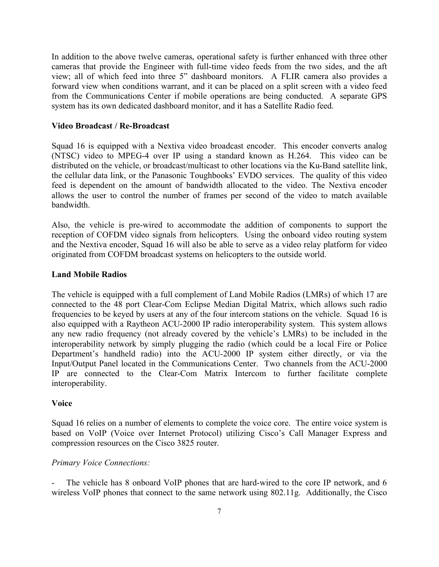In addition to the above twelve cameras, operational safety is further enhanced with three other cameras that provide the Engineer with full-time video feeds from the two sides, and the aft view; all of which feed into three 5" dashboard monitors. A FLIR camera also provides a forward view when conditions warrant, and it can be placed on a split screen with a video feed from the Communications Center if mobile operations are being conducted. A separate GPS system has its own dedicated dashboard monitor, and it has a Satellite Radio feed.

### **Video Broadcast / Re-Broadcast**

Squad 16 is equipped with a Nextiva video broadcast encoder. This encoder converts analog (NTSC) video to MPEG-4 over IP using a standard known as H.264. This video can be distributed on the vehicle, or broadcast/multicast to other locations via the Ku-Band satellite link, the cellular data link, or the Panasonic Toughbooks' EVDO services. The quality of this video feed is dependent on the amount of bandwidth allocated to the video. The Nextiva encoder allows the user to control the number of frames per second of the video to match available bandwidth.

Also, the vehicle is pre-wired to accommodate the addition of components to support the reception of COFDM video signals from helicopters. Using the onboard video routing system and the Nextiva encoder, Squad 16 will also be able to serve as a video relay platform for video originated from COFDM broadcast systems on helicopters to the outside world.

### **Land Mobile Radios**

The vehicle is equipped with a full complement of Land Mobile Radios (LMRs) of which 17 are connected to the 48 port Clear-Com Eclipse Median Digital Matrix, which allows such radio frequencies to be keyed by users at any of the four intercom stations on the vehicle. Squad 16 is also equipped with a Raytheon ACU-2000 IP radio interoperability system. This system allows any new radio frequency (not already covered by the vehicle's LMRs) to be included in the interoperability network by simply plugging the radio (which could be a local Fire or Police Department's handheld radio) into the ACU-2000 IP system either directly, or via the Input/Output Panel located in the Communications Center. Two channels from the ACU-2000 IP are connected to the Clear-Com Matrix Intercom to further facilitate complete interoperability.

### **Voice**

Squad 16 relies on a number of elements to complete the voice core. The entire voice system is based on VoIP (Voice over Internet Protocol) utilizing Cisco's Call Manager Express and compression resources on the Cisco 3825 router.

### *Primary Voice Connections:*

The vehicle has 8 onboard VoIP phones that are hard-wired to the core IP network, and 6 wireless VoIP phones that connect to the same network using 802.11g. Additionally, the Cisco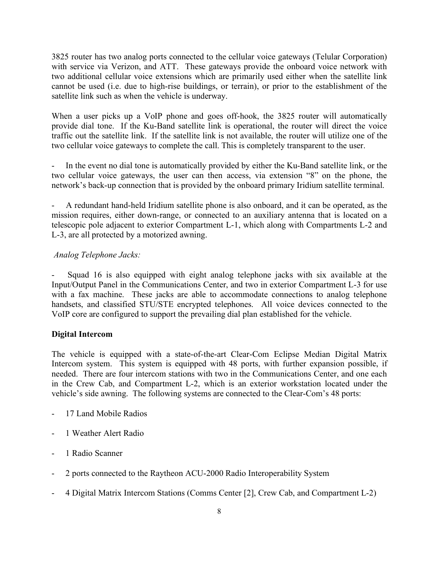3825 router has two analog ports connected to the cellular voice gateways (Telular Corporation) with service via Verizon, and ATT. These gateways provide the onboard voice network with two additional cellular voice extensions which are primarily used either when the satellite link cannot be used (i.e. due to high-rise buildings, or terrain), or prior to the establishment of the satellite link such as when the vehicle is underway.

When a user picks up a VoIP phone and goes off-hook, the 3825 router will automatically provide dial tone. If the Ku-Band satellite link is operational, the router will direct the voice traffic out the satellite link. If the satellite link is not available, the router will utilize one of the two cellular voice gateways to complete the call. This is completely transparent to the user.

In the event no dial tone is automatically provided by either the Ku-Band satellite link, or the two cellular voice gateways, the user can then access, via extension "8" on the phone, the network's back-up connection that is provided by the onboard primary Iridium satellite terminal.

- A redundant hand-held Iridium satellite phone is also onboard, and it can be operated, as the mission requires, either down-range, or connected to an auxiliary antenna that is located on a telescopic pole adjacent to exterior Compartment L-1, which along with Compartments L-2 and L-3, are all protected by a motorized awning.

# *Analog Telephone Jacks:*

Squad 16 is also equipped with eight analog telephone jacks with six available at the Input/Output Panel in the Communications Center, and two in exterior Compartment L-3 for use with a fax machine. These jacks are able to accommodate connections to analog telephone handsets, and classified STU/STE encrypted telephones. All voice devices connected to the VoIP core are configured to support the prevailing dial plan established for the vehicle.

# **Digital Intercom**

The vehicle is equipped with a state-of-the-art Clear-Com Eclipse Median Digital Matrix Intercom system. This system is equipped with 48 ports, with further expansion possible, if needed. There are four intercom stations with two in the Communications Center, and one each in the Crew Cab, and Compartment L-2, which is an exterior workstation located under the vehicle's side awning. The following systems are connected to the Clear-Com's 48 ports:

- 17 Land Mobile Radios
- 1 Weather Alert Radio
- 1 Radio Scanner
- 2 ports connected to the Raytheon ACU-2000 Radio Interoperability System
- 4 Digital Matrix Intercom Stations (Comms Center [2], Crew Cab, and Compartment L-2)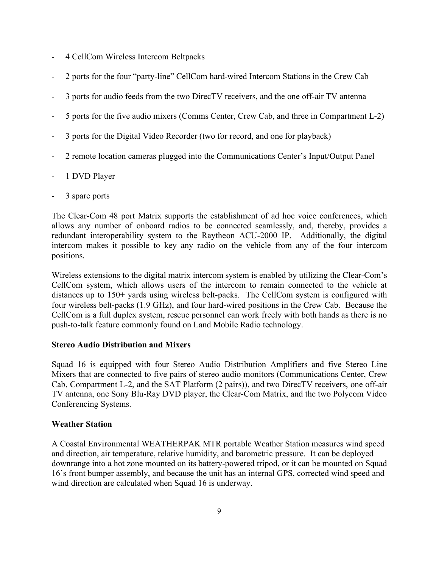- 4 CellCom Wireless Intercom Beltpacks
- 2 ports for the four "party-line" CellCom hard-wired Intercom Stations in the Crew Cab
- 3 ports for audio feeds from the two DirecTV receivers, and the one off-air TV antenna
- 5 ports for the five audio mixers (Comms Center, Crew Cab, and three in Compartment L-2)
- 3 ports for the Digital Video Recorder (two for record, and one for playback)
- 2 remote location cameras plugged into the Communications Center's Input/Output Panel
- 1 DVD Player
- 3 spare ports

The Clear-Com 48 port Matrix supports the establishment of ad hoc voice conferences, which allows any number of onboard radios to be connected seamlessly, and, thereby, provides a redundant interoperability system to the Raytheon ACU-2000 IP. Additionally, the digital intercom makes it possible to key any radio on the vehicle from any of the four intercom positions.

Wireless extensions to the digital matrix intercom system is enabled by utilizing the Clear-Com's CellCom system, which allows users of the intercom to remain connected to the vehicle at distances up to 150+ yards using wireless belt-packs. The CellCom system is configured with four wireless belt-packs (1.9 GHz), and four hard-wired positions in the Crew Cab. Because the CellCom is a full duplex system, rescue personnel can work freely with both hands as there is no push-to-talk feature commonly found on Land Mobile Radio technology.

# **Stereo Audio Distribution and Mixers**

Squad 16 is equipped with four Stereo Audio Distribution Amplifiers and five Stereo Line Mixers that are connected to five pairs of stereo audio monitors (Communications Center, Crew Cab, Compartment L-2, and the SAT Platform (2 pairs)), and two DirecTV receivers, one off-air TV antenna, one Sony Blu-Ray DVD player, the Clear-Com Matrix, and the two Polycom Video Conferencing Systems.

# **Weather Station**

A Coastal Environmental WEATHERPAK MTR portable Weather Station measures wind speed and direction, air temperature, relative humidity, and barometric pressure. It can be deployed downrange into a hot zone mounted on its battery-powered tripod, or it can be mounted on Squad 16's front bumper assembly, and because the unit has an internal GPS, corrected wind speed and wind direction are calculated when Squad 16 is underway.